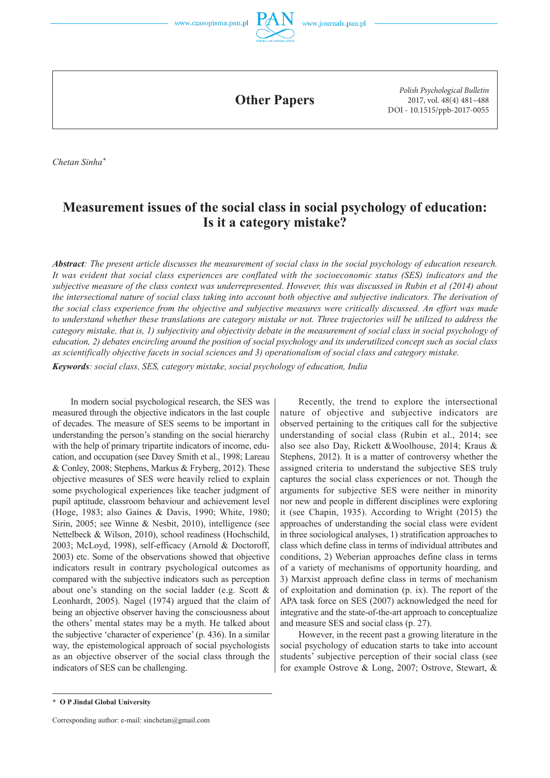



**Other Papers**

*Polish Psychological Bulletin* 2017, vol. 48(4) 481–488 DOI - 10.1515/ppb-2017-0055

*Chetan Sinha\**

# **Measurement issues of the social class in social psychology of education: Is it a category mistake?**

*Abstract: The present article discusses the measurement of social class in the social psychology of education research. It was evident that social class experiences are conflated with the socioeconomic status (SES) indicators and the subjective measure of the class context was underrepresented. However, this was discussed in Rubin et al (2014) about the intersectional nature of social class taking into account both objective and subjective indicators. The derivation of the social class experience from the objective and subjective measures were critically discussed. An effort was made to understand whether these translations are category mistake or not. Three trajectories will be utilized to address the category mistake, that is, 1) subjectivity and objectivity debate in the measurement of social class in social psychology of education, 2) debates encircling around the position of social psychology and its underutilized concept such as social class as scientifically objective facets in social sciences and 3) operationalism of social class and category mistake.* 

*Keywords: social class, SES, category mistake, social psychology of education, India*

In modern social psychological research, the SES was measured through the objective indicators in the last couple of decades. The measure of SES seems to be important in understanding the person's standing on the social hierarchy with the help of primary tripartite indicators of income, education, and occupation (see Davey Smith et al., 1998; Lareau & Conley, 2008; Stephens, Markus & Fryberg, 2012). These objective measures of SES were heavily relied to explain some psychological experiences like teacher judgment of pupil aptitude, classroom behaviour and achievement level (Hoge, 1983; also Gaines & Davis, 1990; White, 1980; Sirin, 2005; see Winne & Nesbit, 2010), intelligence (see Nettelbeck & Wilson, 2010), school readiness (Hochschild, 2003; McLoyd, 1998), self-efficacy (Arnold & Doctoroff, 2003) etc. Some of the observations showed that objective indicators result in contrary psychological outcomes as compared with the subjective indicators such as perception about one's standing on the social ladder (e.g. Scott & Leonhardt, 2005). Nagel (1974) argued that the claim of being an objective observer having the consciousness about the others' mental states may be a myth. He talked about the subjective 'character of experience' (p. 436). In a similar way, the epistemological approach of social psychologists as an objective observer of the social class through the indicators of SES can be challenging.

Recently, the trend to explore the intersectional nature of objective and subjective indicators are observed pertaining to the critiques call for the subjective understanding of social class (Rubin et al., 2014; see also see also Day, Rickett &Woolhouse, 2014; Kraus & Stephens, 2012). It is a matter of controversy whether the assigned criteria to understand the subjective SES truly captures the social class experiences or not. Though the arguments for subjective SES were neither in minority nor new and people in different disciplines were exploring it (see Chapin, 1935). According to Wright (2015) the approaches of understanding the social class were evident in three sociological analyses, 1) stratification approaches to class which define class in terms of individual attributes and conditions, 2) Weberian approaches define class in terms of a variety of mechanisms of opportunity hoarding, and 3) Marxist approach define class in terms of mechanism of exploitation and domination (p. ix). The report of the APA task force on SES (2007) acknowledged the need for integrative and the state-of-the-art approach to conceptualize and measure SES and social class (p. 27).

However, in the recent past a growing literature in the social psychology of education starts to take into account students' subjective perception of their social class (see for example Ostrove & Long, 2007; Ostrove, Stewart, &

**<sup>\*</sup> O P Jindal Global University**

Corresponding author: e-mail: sinchetan@gmail.com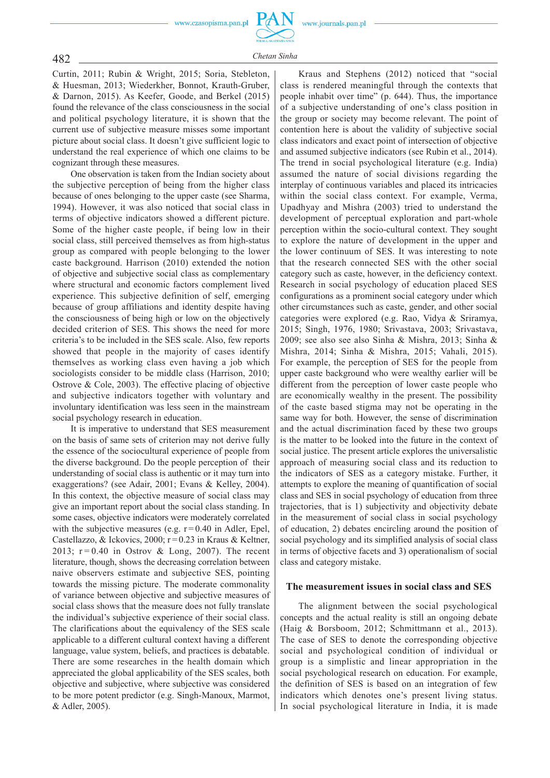

482 *Chetan Sinha*

Curtin, 2011; Rubin & Wright, 2015; Soria, Stebleton, & Huesman, 2013; Wiederkher, Bonnot, Krauth-Gruber, & Darnon, 2015). As Keefer, Goode, and Berkel (2015) found the relevance of the class consciousness in the social and political psychology literature, it is shown that the current use of subjective measure misses some important picture about social class. It doesn't give sufficient logic to understand the real experience of which one claims to be cognizant through these measures.

One observation is taken from the Indian society about the subjective perception of being from the higher class because of ones belonging to the upper caste (see Sharma, 1994). However, it was also noticed that social class in terms of objective indicators showed a different picture. Some of the higher caste people, if being low in their social class, still perceived themselves as from high-status group as compared with people belonging to the lower caste background. Harrison (2010) extended the notion of objective and subjective social class as complementary where structural and economic factors complement lived experience. This subjective definition of self, emerging because of group affiliations and identity despite having the consciousness of being high or low on the objectively decided criterion of SES. This shows the need for more criteria's to be included in the SES scale. Also, few reports showed that people in the majority of cases identify themselves as working class even having a job which sociologists consider to be middle class (Harrison, 2010; Ostrove & Cole, 2003). The effective placing of objective and subjective indicators together with voluntary and involuntary identification was less seen in the mainstream social psychology research in education.

It is imperative to understand that SES measurement on the basis of same sets of criterion may not derive fully the essence of the sociocultural experience of people from the diverse background. Do the people perception of their understanding of social class is authentic or it may turn into exaggerations? (see Adair, 2001; Evans & Kelley, 2004). In this context, the objective measure of social class may give an important report about the social class standing. In some cases, objective indicators were moderately correlated with the subjective measures (e.g.  $r = 0.40$  in Adler, Epel, Castellazzo, & Ickovics, 2000; r=0.23 in Kraus & Keltner, 2013;  $r = 0.40$  in Ostrov & Long, 2007). The recent literature, though, shows the decreasing correlation between naive observers estimate and subjective SES, pointing towards the missing picture. The moderate commonality of variance between objective and subjective measures of social class shows that the measure does not fully translate the individual's subjective experience of their social class. The clarifications about the equivalency of the SES scale applicable to a different cultural context having a different language, value system, beliefs, and practices is debatable. There are some researches in the health domain which appreciated the global applicability of the SES scales, both objective and subjective, where subjective was considered to be more potent predictor (e.g. Singh-Manoux, Marmot, & Adler, 2005).

Kraus and Stephens (2012) noticed that "social class is rendered meaningful through the contexts that people inhabit over time" (p. 644). Thus, the importance of a subjective understanding of one's class position in the group or society may become relevant. The point of contention here is about the validity of subjective social class indicators and exact point of intersection of objective and assumed subjective indicators (see Rubin et al., 2014). The trend in social psychological literature (e.g. India) assumed the nature of social divisions regarding the interplay of continuous variables and placed its intricacies within the social class context. For example, Verma, Upadhyay and Mishra (2003) tried to understand the development of perceptual exploration and part-whole perception within the socio-cultural context. They sought to explore the nature of development in the upper and the lower continuum of SES. It was interesting to note that the research connected SES with the other social category such as caste, however, in the deficiency context. Research in social psychology of education placed SES configurations as a prominent social category under which other circumstances such as caste, gender, and other social categories were explored (e.g. Rao, Vidya & Sriramya, 2015; Singh, 1976, 1980; Srivastava, 2003; Srivastava, 2009; see also see also Sinha & Mishra, 2013; Sinha & Mishra, 2014; Sinha & Mishra, 2015; Vahali, 2015). For example, the perception of SES for the people from upper caste background who were wealthy earlier will be different from the perception of lower caste people who are economically wealthy in the present. The possibility of the caste based stigma may not be operating in the same way for both. However, the sense of discrimination and the actual discrimination faced by these two groups is the matter to be looked into the future in the context of social justice. The present article explores the universalistic approach of measuring social class and its reduction to the indicators of SES as a category mistake. Further, it attempts to explore the meaning of quantification of social class and SES in social psychology of education from three trajectories, that is 1) subjectivity and objectivity debate in the measurement of social class in social psychology of education, 2) debates encircling around the position of social psychology and its simplified analysis of social class in terms of objective facets and 3) operationalism of social class and category mistake.

### **The measurement issues in social class and SES**

The alignment between the social psychological concepts and the actual reality is still an ongoing debate (Haig & Borsboom, 2012; Schmittmann et al., 2013). The case of SES to denote the corresponding objective social and psychological condition of individual or group is a simplistic and linear appropriation in the social psychological research on education. For example, the definition of SES is based on an integration of few indicators which denotes one's present living status. In social psychological literature in India, it is made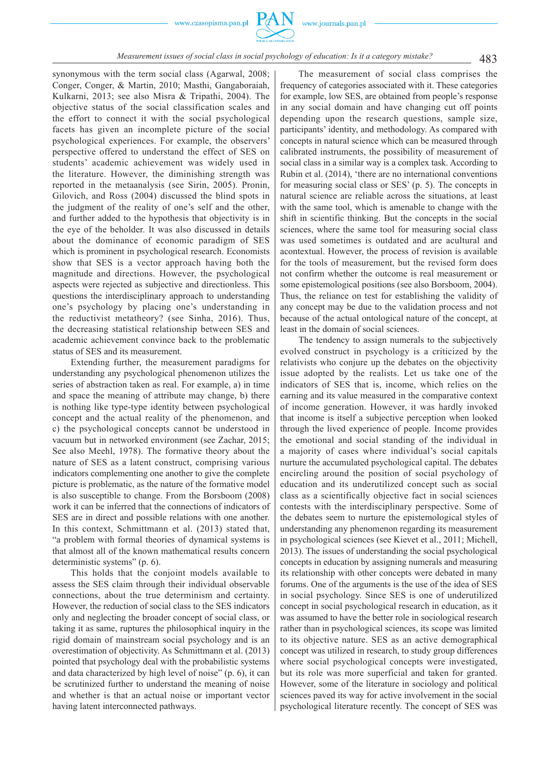

# 483 *Measurement issues of social class in social psychology of education: Is it a category mistake?*

synonymous with the term social class (Agarwal, 2008; Conger, Conger, & Martin, 2010; Masthi, Gangaboraiah, Kulkarni, 2013; see also Misra & Tripathi, 2004). The objective status of the social classification scales and the effort to connect it with the social psychological facets has given an incomplete picture of the social psychological experiences. For example, the observers' perspective offered to understand the effect of SES on students' academic achievement was widely used in the literature. However, the diminishing strength was reported in the metaanalysis (see Sirin, 2005). Pronin, Gilovich, and Ross (2004) discussed the blind spots in the judgment of the reality of one's self and the other, and further added to the hypothesis that objectivity is in the eye of the beholder. It was also discussed in details about the dominance of economic paradigm of SES which is prominent in psychological research. Economists show that SES is a vector approach having both the magnitude and directions. However, the psychological aspects were rejected as subjective and directionless. This questions the interdisciplinary approach to understanding one's psychology by placing one's understanding in the reductivist metatheory? (see Sinha, 2016). Thus, the decreasing statistical relationship between SES and academic achievement convince back to the problematic status of SES and its measurement.

Extending further, the measurement paradigms for understanding any psychological phenomenon utilizes the series of abstraction taken as real. For example, a) in time and space the meaning of attribute may change, b) there is nothing like type-type identity between psychological concept and the actual reality of the phenomenon, and c) the psychological concepts cannot be understood in vacuum but in networked environment (see Zachar, 2015; See also Meehl, 1978). The formative theory about the nature of SES as a latent construct, comprising various indicators complementing one another to give the complete picture is problematic, as the nature of the formative model is also susceptible to change. From the Borsboom (2008) work it can be inferred that the connections of indicators of SES are in direct and possible relations with one another. In this context, Schmittmann et al. (2013) stated that, "a problem with formal theories of dynamical systems is that almost all of the known mathematical results concern deterministic systems" (p. 6).

This holds that the conjoint models available to assess the SES claim through their individual observable connections, about the true determinism and certainty. However, the reduction of social class to the SES indicators only and neglecting the broader concept of social class, or taking it as same, ruptures the philosophical inquiry in the rigid domain of mainstream social psychology and is an overestimation of objectivity. As Schmittmann et al. (2013) pointed that psychology deal with the probabilistic systems and data characterized by high level of noise" (p. 6), it can be scrutinized further to understand the meaning of noise and whether is that an actual noise or important vector having latent interconnected pathways.

The measurement of social class comprises the frequency of categories associated with it. These categories for example, low SES, are obtained from people's response in any social domain and have changing cut off points depending upon the research questions, sample size, participants' identity, and methodology. As compared with concepts in natural science which can be measured through calibrated instruments, the possibility of measurement of social class in a similar way is a complex task. According to Rubin et al. (2014), 'there are no international conventions for measuring social class or SES' (p. 5). The concepts in natural science are reliable across the situations, at least with the same tool, which is amenable to change with the shift in scientific thinking. But the concepts in the social sciences, where the same tool for measuring social class was used sometimes is outdated and are acultural and acontextual. However, the process of revision is available for the tools of measurement, but the revised form does not confirm whether the outcome is real measurement or some epistemological positions (see also Borsboom, 2004). Thus, the reliance on test for establishing the validity of any concept may be due to the validation process and not because of the actual ontological nature of the concept, at least in the domain of social sciences.

The tendency to assign numerals to the subjectively evolved construct in psychology is a criticized by the relativists who conjure up the debates on the objectivity issue adopted by the realists. Let us take one of the indicators of SES that is, income, which relies on the earning and its value measured in the comparative context of income generation. However, it was hardly invoked that income is itself a subjective perception when looked through the lived experience of people. Income provides the emotional and social standing of the individual in a majority of cases where individual's social capitals nurture the accumulated psychological capital. The debates encircling around the position of social psychology of education and its underutilized concept such as social class as a scientifically objective fact in social sciences contests with the interdisciplinary perspective. Some of the debates seem to nurture the epistemological styles of understanding any phenomenon regarding its measurement in psychological sciences (see Kievet et al., 2011; Michell, 2013). The issues of understanding the social psychological concepts in education by assigning numerals and measuring its relationship with other concepts were debated in many forums. One of the arguments is the use of the idea of SES in social psychology. Since SES is one of underutilized concept in social psychological research in education, as it was assumed to have the better role in sociological research rather than in psychological sciences, its scope was limited to its objective nature. SES as an active demographical concept was utilized in research, to study group differences where social psychological concepts were investigated, but its role was more superficial and taken for granted. However, some of the literature in sociology and political sciences paved its way for active involvement in the social psychological literature recently. The concept of SES was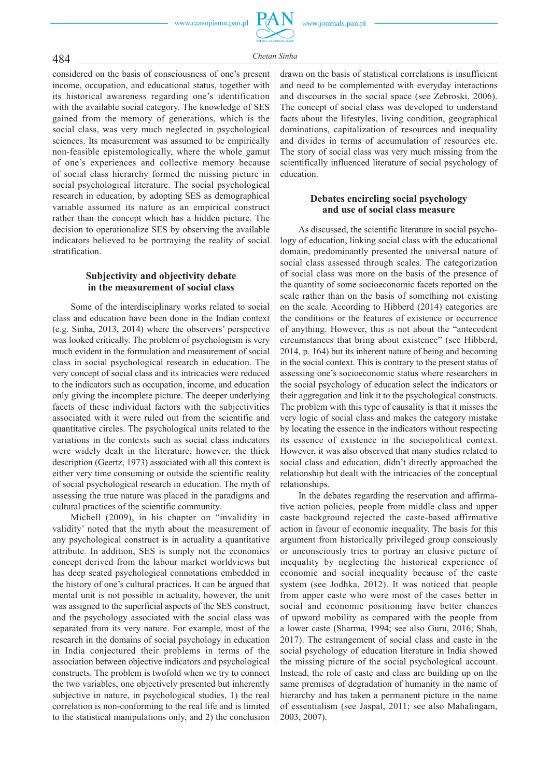

considered on the basis of consciousness of one's present income, occupation, and educational status, together with its historical awareness regarding one's identification with the available social category. The knowledge of SES gained from the memory of generations, which is the social class, was very much neglected in psychological sciences. Its measurement was assumed to be empirically non-feasible epistemologically, where the whole gamut of one's experiences and collective memory because of social class hierarchy formed the missing picture in social psychological literature. The social psychological research in education, by adopting SES as demographical variable assumed its nature as an empirical construct rather than the concept which has a hidden picture. The decision to operationalize SES by observing the available indicators believed to be portraying the reality of social stratification.

### **Subjectivity and objectivity debate in the measurement of social class**

Some of the interdisciplinary works related to social class and education have been done in the Indian context (e.g. Sinha, 2013, 2014) where the observers' perspective was looked critically. The problem of psychologism is very much evident in the formulation and measurement of social class in social psychological research in education. The very concept of social class and its intricacies were reduced to the indicators such as occupation, income, and education only giving the incomplete picture. The deeper underlying facets of these individual factors with the subjectivities associated with it were ruled out from the scientific and quantitative circles. The psychological units related to the variations in the contexts such as social class indicators were widely dealt in the literature, however, the thick description (Geertz, 1973) associated with all this context is either very time consuming or outside the scientific reality of social psychological research in education. The myth of assessing the true nature was placed in the paradigms and cultural practices of the scientific community.

Michell (2009), in his chapter on "invalidity in validity' noted that the myth about the measurement of any psychological construct is in actuality a quantitative attribute. In addition, SES is simply not the economics concept derived from the labour market worldviews but has deep seated psychological connotations embedded in the history of one's cultural practices. It can be argued that mental unit is not possible in actuality, however, the unit was assigned to the superficial aspects of the SES construct, and the psychology associated with the social class was separated from its very nature. For example, most of the research in the domains of social psychology in education in India conjectured their problems in terms of the association between objective indicators and psychological constructs. The problem is twofold when we try to connect the two variables, one objectively presented but inherently subjective in nature, in psychological studies, 1) the real correlation is non-conforming to the real life and is limited to the statistical manipulations only, and 2) the conclusion

drawn on the basis of statistical correlations is insufficient and need to be complemented with everyday interactions and discourses in the social space (see Zebroski, 2006). The concept of social class was developed to understand facts about the lifestyles, living condition, geographical dominations, capitalization of resources and inequality and divides in terms of accumulation of resources etc. The story of social class was very much missing from the scientifically influenced literature of social psychology of education.

### **Debates encircling social psychology and use of social class measure**

As discussed, the scientific literature in social psychology of education, linking social class with the educational domain, predominantly presented the universal nature of social class assessed through scales. The categorization of social class was more on the basis of the presence of the quantity of some socioeconomic facets reported on the scale rather than on the basis of something not existing on the scale. According to Hibberd (2014) categories are the conditions or the features of existence or occurrence of anything. However, this is not about the "antecedent circumstances that bring about existence" (see Hibberd, 2014, p. 164) but its inherent nature of being and becoming in the social context. This is contrary to the present status of assessing one's socioeconomic status where researchers in the social psychology of education select the indicators or their aggregation and link it to the psychological constructs. The problem with this type of causality is that it misses the very logic of social class and makes the category mistake by locating the essence in the indicators without respecting its essence of existence in the sociopolitical context. However, it was also observed that many studies related to social class and education, didn't directly approached the relationship but dealt with the intricacies of the conceptual relationships.

In the debates regarding the reservation and affirmative action policies, people from middle class and upper caste background rejected the caste-based affirmative action in favour of economic inequality. The basis for this argument from historically privileged group consciously or unconsciously tries to portray an elusive picture of inequality by neglecting the historical experience of economic and social inequality because of the caste system (see Jodhka, 2012). It was noticed that people from upper caste who were most of the cases better in social and economic positioning have better chances of upward mobility as compared with the people from a lower caste (Sharma, 1994; see also Guru, 2016; Shah, 2017). The estrangement of social class and caste in the social psychology of education literature in India showed the missing picture of the social psychological account. Instead, the role of caste and class are building up on the same premises of degradation of humanity in the name of hierarchy and has taken a permanent picture in the name of essentialism (see Jaspal, 2011; see also Mahalingam, 2003, 2007).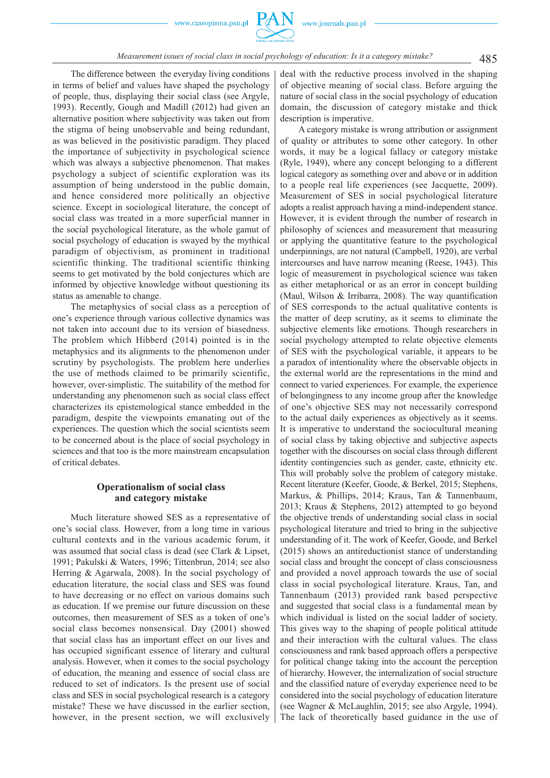The difference between the everyday living conditions in terms of belief and values have shaped the psychology of people, thus, displaying their social class (see Argyle, 1993). Recently, Gough and Madill (2012) had given an alternative position where subjectivity was taken out from the stigma of being unobservable and being redundant, as was believed in the positivistic paradigm. They placed the importance of subjectivity in psychological science which was always a subjective phenomenon. That makes psychology a subject of scientific exploration was its assumption of being understood in the public domain, and hence considered more politically an objective science. Except in sociological literature, the concept of social class was treated in a more superficial manner in the social psychological literature, as the whole gamut of social psychology of education is swayed by the mythical paradigm of objectivism, as prominent in traditional scientific thinking. The traditional scientific thinking seems to get motivated by the bold conjectures which are informed by objective knowledge without questioning its status as amenable to change.

The metaphysics of social class as a perception of one's experience through various collective dynamics was not taken into account due to its version of biasedness. The problem which Hibberd (2014) pointed is in the metaphysics and its alignments to the phenomenon under scrutiny by psychologists. The problem here underlies the use of methods claimed to be primarily scientific, however, over-simplistic. The suitability of the method for understanding any phenomenon such as social class effect characterizes its epistemological stance embedded in the paradigm, despite the viewpoints emanating out of the experiences. The question which the social scientists seem to be concerned about is the place of social psychology in sciences and that too is the more mainstream encapsulation of critical debates.

### **Operationalism of social class and category mistake**

Much literature showed SES as a representative of one's social class. However, from a long time in various cultural contexts and in the various academic forum, it was assumed that social class is dead (see Clark & Lipset, 1991; Pakulski & Waters, 1996; Tittenbrun, 2014; see also Herring & Agarwala, 2008). In the social psychology of education literature, the social class and SES was found to have decreasing or no effect on various domains such as education. If we premise our future discussion on these outcomes, then measurement of SES as a token of one's social class becomes nonsensical. Day (2001) showed that social class has an important effect on our lives and has occupied significant essence of literary and cultural analysis. However, when it comes to the social psychology of education, the meaning and essence of social class are reduced to set of indicators. Is the present use of social class and SES in social psychological research is a category mistake? These we have discussed in the earlier section, however, in the present section, we will exclusively

deal with the reductive process involved in the shaping of objective meaning of social class. Before arguing the nature of social class in the social psychology of education domain, the discussion of category mistake and thick description is imperative.

A category mistake is wrong attribution or assignment of quality or attributes to some other category. In other words, it may be a logical fallacy or category mistake (Ryle, 1949), where any concept belonging to a different logical category as something over and above or in addition to a people real life experiences (see Jacquette, 2009). Measurement of SES in social psychological literature adopts a realist approach having a mind-independent stance. However, it is evident through the number of research in philosophy of sciences and measurement that measuring or applying the quantitative feature to the psychological underpinnings, are not natural (Campbell, 1920), are verbal intercourses and have narrow meaning (Reese, 1943). This logic of measurement in psychological science was taken as either metaphorical or as an error in concept building (Maul, Wilson & Irribarra, 2008). The way quantification of SES corresponds to the actual qualitative contents is the matter of deep scrutiny, as it seems to eliminate the subjective elements like emotions. Though researchers in social psychology attempted to relate objective elements of SES with the psychological variable, it appears to be a paradox of intentionality where the observable objects in the external world are the representations in the mind and connect to varied experiences. For example, the experience of belongingness to any income group after the knowledge of one's objective SES may not necessarily correspond to the actual daily experiences as objectively as it seems. It is imperative to understand the sociocultural meaning of social class by taking objective and subjective aspects together with the discourses on social class through different identity contingencies such as gender, caste, ethnicity etc. This will probably solve the problem of category mistake. Recent literature (Keefer, Goode, & Berkel, 2015; Stephens, Markus, & Phillips, 2014; Kraus, Tan & Tannenbaum, 2013; Kraus & Stephens, 2012) attempted to go beyond the objective trends of understanding social class in social psychological literature and tried to bring in the subjective understanding of it. The work of Keefer, Goode, and Berkel (2015) shows an antireductionist stance of understanding social class and brought the concept of class consciousness and provided a novel approach towards the use of social class in social psychological literature. Kraus, Tan, and Tannenbaum (2013) provided rank based perspective and suggested that social class is a fundamental mean by which individual is listed on the social ladder of society. This gives way to the shaping of people political attitude and their interaction with the cultural values. The class consciousness and rank based approach offers a perspective for political change taking into the account the perception of hierarchy. However, the internalization of social structure and the classified nature of everyday experience need to be considered into the social psychology of education literature (see Wagner & McLaughlin, 2015; see also Argyle, 1994). The lack of theoretically based guidance in the use of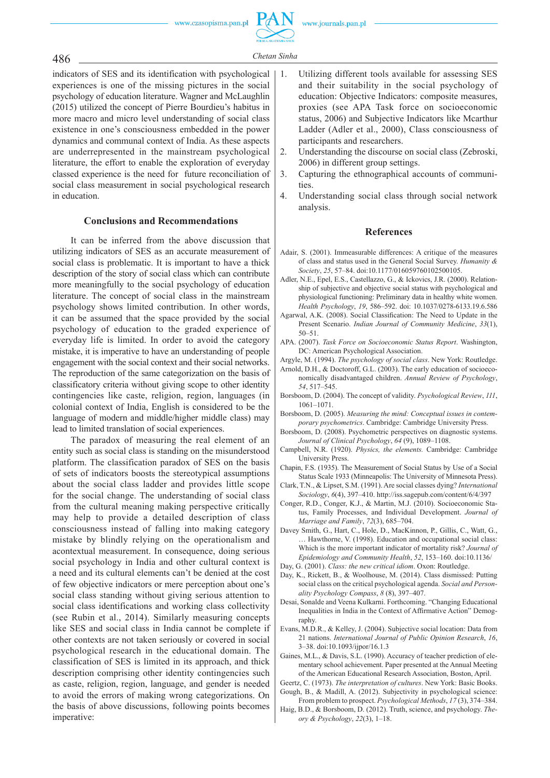

486 *Chetan Sinha*

indicators of SES and its identification with psychological experiences is one of the missing pictures in the social psychology of education literature. Wagner and McLaughlin (2015) utilized the concept of Pierre Bourdieu's habitus in more macro and micro level understanding of social class existence in one's consciousness embedded in the power dynamics and communal context of India. As these aspects are underrepresented in the mainstream psychological literature, the effort to enable the exploration of everyday classed experience is the need for future reconciliation of social class measurement in social psychological research in education.

### **Conclusions and Recommendations**

It can be inferred from the above discussion that utilizing indicators of SES as an accurate measurement of social class is problematic. It is important to have a thick description of the story of social class which can contribute more meaningfully to the social psychology of education literature. The concept of social class in the mainstream psychology shows limited contribution. In other words, it can be assumed that the space provided by the social psychology of education to the graded experience of everyday life is limited. In order to avoid the category mistake, it is imperative to have an understanding of people engagement with the social context and their social networks. The reproduction of the same categorization on the basis of classificatory criteria without giving scope to other identity contingencies like caste, religion, region, languages (in colonial context of India, English is considered to be the language of modern and middle/higher middle class) may lead to limited translation of social experiences.

The paradox of measuring the real element of an entity such as social class is standing on the misunderstood platform. The classification paradox of SES on the basis of sets of indicators boosts the stereotypical assumptions about the social class ladder and provides little scope for the social change. The understanding of social class from the cultural meaning making perspective critically may help to provide a detailed description of class consciousness instead of falling into making category mistake by blindly relying on the operationalism and acontextual measurement. In consequence, doing serious social psychology in India and other cultural context is a need and its cultural elements can't be denied at the cost of few objective indicators or mere perception about one's social class standing without giving serious attention to social class identifications and working class collectivity (see Rubin et al., 2014). Similarly measuring concepts like SES and social class in India cannot be complete if other contexts are not taken seriously or covered in social psychological research in the educational domain. The classification of SES is limited in its approach, and thick description comprising other identity contingencies such as caste, religion, region, language, and gender is needed to avoid the errors of making wrong categorizations. On the basis of above discussions, following points becomes imperative:

- 1. Utilizing different tools available for assessing SES and their suitability in the social psychology of education: Objective Indicators: composite measures, proxies (see APA Task force on socioeconomic status, 2006) and Subjective Indicators like Mcarthur Ladder (Adler et al., 2000), Class consciousness of participants and researchers.
- 2. Understanding the discourse on social class (Zebroski, 2006) in different group settings.
- 3. Capturing the ethnographical accounts of communities
- 4. Understanding social class through social network analysis.

### **References**

- Adair, S. (2001). Immeasurable differences: A critique of the measures of class and status used in the General Social Survey. *Humanity & Society*, *25*, 57–84. doi:10.1177/016059760102500105.
- Adler, N.E., Epel, E.S., Castellazzo, G., & Ickovics, J.R. (2000). Relationship of subjective and objective social status with psychological and physiological functioning: Preliminary data in healthy white women. *Health Psychology*, *19*, 586–592. doi: 10.1037/0278-6133.19.6.586
- Agarwal, A.K. (2008). Social Classification: The Need to Update in the Present Scenario. *Indian Journal of Community Medicine*, *33*(1), 50–51.
- APA. (2007). *Task Force on Socioeconomic Status Report*. Washington, DC: American Psychological Association.
- Argyle, M. (1994). *The psychology of social class*. New York: Routledge.
- Arnold, D.H., & Doctoroff, G.L. (2003). The early education of socioeconomically disadvantaged children. *Annual Review of Psychology*, *54*, 517–545.
- Borsboom, D. (2004). The concept of validity. *Psychological Review*, *111*, 1061–1071.
- Borsboom, D. (2005). *Measuring the mind: Conceptual issues in contemporary psychometrics*. Cambridge: Cambridge University Press.
- Borsboom, D. (2008). Psychometric perspectives on diagnostic systems. *Journal of Clinical Psychology*, *64* (9), 1089–1108.
- Campbell, N.R. (1920). *Physics, the elements.* Cambridge: Cambridge University Press.
- Chapin, F.S. (1935). The Measurement of Social Status by Use of a Social Status Scale 1933 (Minneapolis: The University of Minnesota Press).
- Clark, T.N., & Lipset, S.M. (1991). Are social classes dying? *International Sociology*, *6*(4), 397–410. http://iss.sagepub.com/content/6/4/397
- Conger, R.D., Conger, K.J., & Martin, M.J. (2010). Socioeconomic Status, Family Processes, and Individual Development. *Journal of Marriage and Family*, *72*(3), 685–704.
- Davey Smith, G., Hart, C., Hole, D., MacKinnon, P., Gillis, C., Watt, G., … Hawthorne, V. (1998). Education and occupational social class: Which is the more important indicator of mortality risk? *Journal of Epidemiology and Community Health*, *52*, 153–160. doi:10.1136/
- Day, G. (2001). *Class: the new critical idiom*. Oxon: Routledge.
- Day, K., Rickett, B., & Woolhouse, M. (2014). Class dismissed: Putting social class on the critical psychological agenda. *Social and Personality Psychology Compass*, *8* (8), 397–407.
- Desai, Sonalde and Veena Kulkarni. Forthcoming. "Changing Educational Inequalities in India in the Context of Affirmative Action" Demography.
- Evans, M.D.R., & Kelley, J. (2004). Subjective social location: Data from 21 nations. *International Journal of Public Opinion Research*, *16*, 3–38. doi:10.1093/ijpor/16.1.3
- Gaines, M.L., & Davis, S.L. (1990). Accuracy of teacher prediction of elementary school achievement. Paper presented at the Annual Meeting of the American Educational Research Association, Boston, April.
- Geertz, C. (1973). *The interpretation of cultures*. New York: Basic Books. Gough, B., & Madill, A. (2012). Subjectivity in psychological science:
- From problem to prospect. *Psychological Methods*, *17* (3), 374–384. Haig, B.D., & Borsboom, D. (2012). Truth, science, and psychology. *The-*

*ory & Psychology*, *22*(3), 1–18.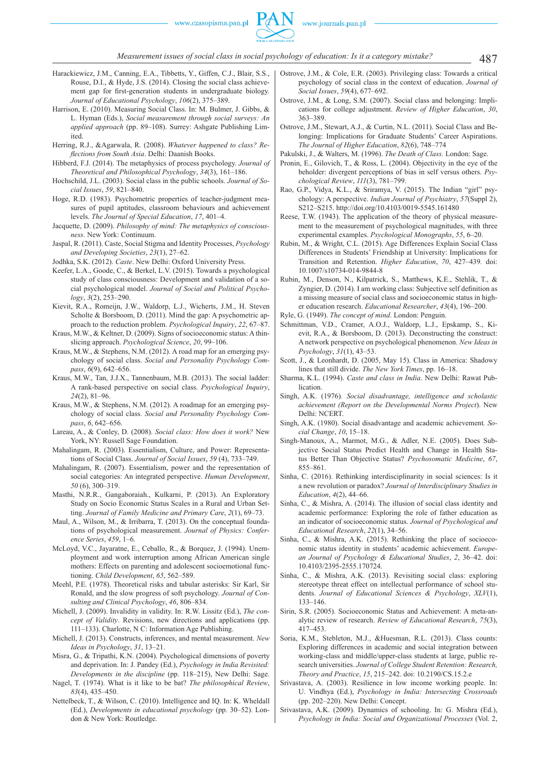

- Harackiewicz, J.M., Canning, E.A., Tibbetts, Y., Giffen, C.J., Blair, S.S., Rouse, D.I., & Hyde, J.S. (2014). Closing the social class achievement gap for first-generation students in undergraduate biology. *Journal of Educational Psychology*, *106*(2), 375–389.
- Harrison, E. (2010). Measuring Social Class. In: M. Bulmer, J. Gibbs, & L. Hyman (Eds.), *Social measurement through social surveys: An applied approach* (pp. 89–108). Surrey: Ashgate Publishing Limited.
- Herring, R.J., &Agarwala, R. (2008). *Whatever happened to class? Refl ections from South Asia*. Delhi: Daanish Books.
- Hibberd, F.J. (2014). The metaphysics of process psychology. *Journal of Theoretical and Philosophical Psychology*, *34*(3), 161–186.
- Hochschild, J.L. (2003). Social class in the public schools. *Journal of Social Issues*, *59*, 821–840.
- Hoge, R.D. (1983). Psychometric properties of teacher-judgment measures of pupil aptitudes, classroom behaviours and achievement levels. *The Journal of Special Education*, *17*, 401–4.
- Jacquette, D. (2009). *Philosophy of mind: The metaphysics of consciousness*. New York: Continuum.
- Jaspal, R. (2011). Caste, Social Stigma and Identity Processes, *Psychology and Developing Societies*, *23*(1), 27–62.

Jodhka, S.K. (2012). *Caste*. New Delhi: Oxford University Press.

- Keefer, L.A., Goode, C., & Berkel, L.V. (2015). Towards a psychological study of class consciousness: Development and validation of a social psychological model. *Journal of Social and Political Psychology*, *3*(2), 253–290.
- Kievit, R.A., Romeijn, J.W., Waldorp, L.J., Wicherts, J.M., H. Steven Scholte & Borsboom, D. (2011). Mind the gap: A psychometric approach to the reduction problem. *Psychological Inquiry*, *22*, 67–87.
- Kraus, M.W., & Keltner, D. (2009). Signs of socioeconomic status: A thinslicing approach. *Psychological Science*, *20*, 99–106.
- Kraus, M.W., & Stephens, N.M. (2012). A road map for an emerging psychology of social class. *Social and Personality Psychology Compass*, *6*(9), 642–656.
- Kraus, M.W., Tan, J.J.X., Tannenbaum, M.B. (2013). The social ladder: A rank-based perspective on social class. *Psychological Inquiry*, *24*(2), 81–96.
- Kraus, M.W., & Stephens, N.M. (2012). A roadmap for an emerging psychology of social class. *Social and Personality Psychology Compass*, *6*, 642–656.
- Lareau, A., & Conley, D. (2008). *Social class: How does it work?* New York, NY: Russell Sage Foundation.
- Mahalingam, R. (2003). Essentialism, Culture, and Power: Representations of Social Class. *Journal of Social Issues*, *59* (4), 733–749.
- Mahalingam, R. (2007). Essentialism, power and the representation of social categories: An integrated perspective. *Human Development*, *50* (6), 300–319.
- Masthi, N.R.R., Gangaboraiah., Kulkarni, P. (2013). An Exploratory Study on Socio Economic Status Scales in a Rural and Urban Setting. *Journal of Family Medicine and Primary Care*, *2*(1), 69–73.
- Maul, A., Wilson, M., & Irribarra, T. (2013). On the conceptual foundations of psychological measurement. *Journal of Physics: Conference Series*, *459*, 1–6.
- McLoyd, V.C., Jayaratne, E., Ceballo, R., & Borquez, J. (1994). Unemployment and work interruption among African American single mothers: Effects on parenting and adolescent socioemotional functioning. *Child Development*, *65*, 562–589.
- Meehl, P.E. (1978). Theoretical risks and tabular asterisks: Sir Karl, Sir Ronald, and the slow progress of soft psychology. *Journal of Consulting and Clinical Psychology*, *46*, 806–834.
- Michell, J. (2009). Invalidity in validity. In: R.W. Lissitz (Ed.), *The concept of Validity*. Revisions, new directions and applications (pp. 111–133). Charlotte, N C: Information Age Publishing.
- Michell, J. (2013). Constructs, inferences, and mental measurement. *New Ideas in Psychology*, *31*, 13–21.
- Misra, G., & Tripathi, K.N. (2004). Psychological dimensions of poverty and deprivation. In: J. Pandey (Ed.), *Psychology in India Revisited: Developments in the discipline* (pp. 118–215), New Delhi: Sage.
- Nagel, T. (1974). What is it like to be bat? *The philosophical Review*, *83*(4), 435–450.
- Nettelbeck, T., & Wilson, C. (2010). Intelligence and IQ. In: K. Wheldall (Ed.), *Developments in educational psychology* (pp. 30–52). London & New York: Routledge.
- Ostrove, J.M., & Cole, E.R. (2003). Privileging class: Towards a critical psychology of social class in the context of education. *Journal of Social Issues*, *59*(4), 677–692.
- Ostrove, J.M., & Long, S.M. (2007). Social class and belonging: Implications for college adjustment. *Review of Higher Education*, *30*, 363–389.
- Ostrove, J.M., Stewart, A.J., & Curtin, N.L. (2011). Social Class and Belonging: Implications for Graduate Students' Career Aspirations. *The Journal of Higher Education*, *82*(6), 748–774
- Pakulski, J., & Walters, M. (1996). *The Death of Class.* London: Sage.
- Pronin, E., Gilovich, T., & Ross, L. (2004). Objectivity in the eye of the beholder: divergent perceptions of bias in self versus others. *Psychological Review*, *111*(3), 781–799.
- Rao, G.P., Vidya, K.L., & Sriramya, V. (2015). The Indian "girl" psychology: A perspective. *Indian Journal of Psychiatry*, *57*(Suppl 2), S212–S215. http://doi.org/10.4103/0019-5545.161480
- Reese, T.W. (1943). The application of the theory of physical measurement to the measurement of psychological magnitudes, with three experimental examples. *Psychological Monographs*, *55*, 6–20.
- Rubin, M., & Wright, C.L. (2015). Age Differences Explain Social Class Differences in Students' Friendship at University: Implications for Transition and Retention. *Higher Education*, *70*, 427–439*.* doi: 10.1007/s10734-014-9844-8
- Rubin, M., Denson, N., Kilpatrick, S., Matthews, K.E., Stehlik, T., & Zyngier, D. (2014). I am working class: Subjective self definition as a missing measure of social class and socioeconomic status in higher education research. *Educational Researcher*, *43*(4), 196–200.
- Ryle, G. (1949). *The concept of mind*. London: Penguin.
- Schmittman, V.D., Cramer, A.O.J., Waldorp, L.J., Epskamp, S., Kievit, R.A., & Borsboom, D. (2013). Deconstructing the construct: A network perspective on psychological phenomenon. *New Ideas in Psychology*, *31*(1), 43–53.
- Scott, J., & Leonhardt, D. (2005, May 15). Class in America: Shadowy lines that still divide. *The New York Times*, pp. 16–18.
- Sharma, K.L. (1994). *Caste and class in India*. New Delhi: Rawat Publication.
- Singh, A.K. (1976)*. Social disadvantage, intelligence and scholastic achievement (Report on the Developmental Norms Project*). New Delhi: NCERT.
- Singh, A.K. (1980). Social disadvantage and academic achievement*. Social Change*, *10*, 15–18.
- Singh-Manoux, A., Marmot, M.G., & Adler, N.E. (2005). Does Subjective Social Status Predict Health and Change in Health Status Better Than Objective Status? *Psychosomatic Medicine*, *67*, 855–861.
- Sinha, C. (2016). Rethinking interdisciplinarity in social sciences: Is it a new revolution or paradox? *Journal of Interdisciplinary Studies in Education*, *4*(2), 44–66.
- Sinha, C., & Mishra, A. (2014). The illusion of social class identity and academic performance: Exploring the role of father education as an indicator of socioeconomic status. *Journal of Psychological and Educational Research*, *22*(1), 34–56.
- Sinha, C., & Mishra, A.K. (2015). Rethinking the place of socioeconomic status identity in students' academic achievement. *European Journal of Psychology & Educational Studies*, *2*, 36–42. doi: 10.4103/2395-2555.170724.
- Sinha, C., & Mishra, A.K. (2013). Revisiting social class: exploring stereotype threat effect on intellectual performance of school students. *Journal of Educational Sciences & Psychology*, *XLV*(1), 133–146.
- Sirin, S.R. (2005). Socioeconomic Status and Achievement: A meta-analytic review of research. *Review of Educational Research*, *75*(3), 417–453.
- Soria, K.M., Stebleton, M.J., &Huesman, R.L. (2013). Class counts: Exploring differences in academic and social integration between working-class and middle/upper-class students at large, public research universities. *Journal of College Student Retention: Research, Theory and Practice*, *15*, 215–242. doi: 10.2190/CS.15.2.e
- Srivastava, A. (2003). Resilience in low income working people. In: U. Vindhya (Ed.), *Psychology in India: Intersecting Crossroads*  (pp. 202–220). New Delhi: Concept.
- Srivastava, A.K. (2009). Dynamics of schooling. In: G. Mishra (Ed.), *Psychology in India: Social and Organizational Processes* (Vol. 2,